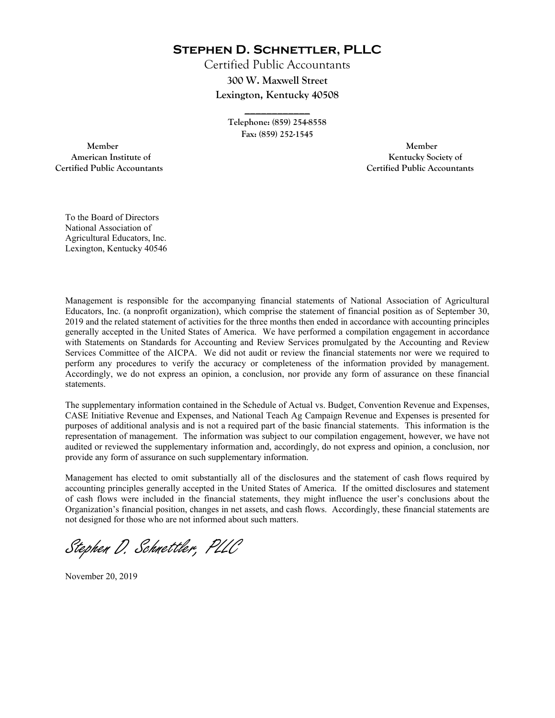**Stephen D. Schnettler, PLLC**

Certified Public Accountants **300 W. Maxwell Street Lexington, Kentucky 40508** 

> **Telephone: (859) 254-8558 Fax: (859) 252-1545**

**\_\_\_\_\_\_\_\_\_\_\_\_** 

 **Member Member Certified Public Accountants Certified Public Accountants** 

American Institute of **Kentucky Society of** 

To the Board of Directors National Association of Agricultural Educators, Inc. Lexington, Kentucky 40546

Management is responsible for the accompanying financial statements of National Association of Agricultural Educators, Inc. (a nonprofit organization), which comprise the statement of financial position as of September 30, 2019 and the related statement of activities for the three months then ended in accordance with accounting principles generally accepted in the United States of America. We have performed a compilation engagement in accordance with Statements on Standards for Accounting and Review Services promulgated by the Accounting and Review Services Committee of the AICPA. We did not audit or review the financial statements nor were we required to perform any procedures to verify the accuracy or completeness of the information provided by management. Accordingly, we do not express an opinion, a conclusion, nor provide any form of assurance on these financial statements.

The supplementary information contained in the Schedule of Actual vs. Budget, Convention Revenue and Expenses, CASE Initiative Revenue and Expenses, and National Teach Ag Campaign Revenue and Expenses is presented for purposes of additional analysis and is not a required part of the basic financial statements. This information is the representation of management. The information was subject to our compilation engagement, however, we have not audited or reviewed the supplementary information and, accordingly, do not express and opinion, a conclusion, nor provide any form of assurance on such supplementary information.

Management has elected to omit substantially all of the disclosures and the statement of cash flows required by accounting principles generally accepted in the United States of America. If the omitted disclosures and statement of cash flows were included in the financial statements, they might influence the user's conclusions about the Organization's financial position, changes in net assets, and cash flows. Accordingly, these financial statements are not designed for those who are not informed about such matters.

Stephen D. Schnettler, PLLC

November 20, 2019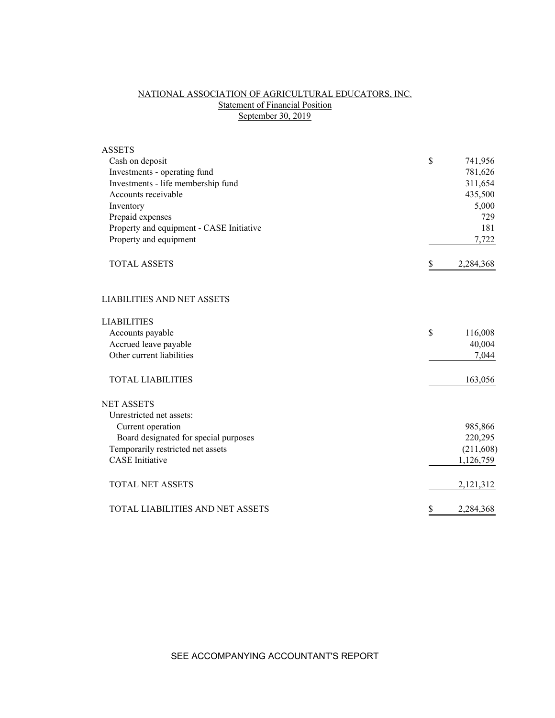# NATIONAL ASSOCIATION OF AGRICULTURAL EDUCATORS, INC. Statement of Financial Position September 30, 2019

| <b>ASSETS</b>                            |                 |
|------------------------------------------|-----------------|
| Cash on deposit                          | \$<br>741,956   |
| Investments - operating fund             | 781,626         |
| Investments - life membership fund       | 311,654         |
| Accounts receivable                      | 435,500         |
| Inventory                                | 5,000           |
| Prepaid expenses                         | 729             |
| Property and equipment - CASE Initiative | 181             |
| Property and equipment                   | 7,722           |
| <b>TOTAL ASSETS</b>                      | \$<br>2,284,368 |
| <b>LIABILITIES AND NET ASSETS</b>        |                 |
| <b>LIABILITIES</b>                       |                 |
| Accounts payable                         | \$<br>116,008   |
| Accrued leave payable                    | 40,004          |
| Other current liabilities                | 7,044           |
| <b>TOTAL LIABILITIES</b>                 | 163,056         |
| <b>NET ASSETS</b>                        |                 |
| Unrestricted net assets:                 |                 |
| Current operation                        | 985,866         |
| Board designated for special purposes    | 220,295         |
| Temporarily restricted net assets        | (211, 608)      |
| <b>CASE</b> Initiative                   | 1,126,759       |
| <b>TOTAL NET ASSETS</b>                  | 2,121,312       |
| <b>TOTAL LIABILITIES AND NET ASSETS</b>  | \$<br>2,284,368 |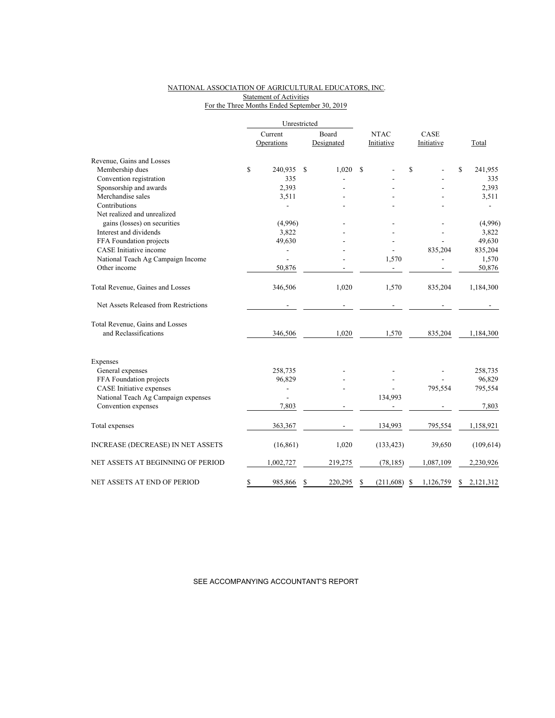## NATIONAL ASSOCIATION OF AGRICULTURAL EDUCATORS, INC. **Statement of Activities** For the Three Months Ended September 30, 2019

|                                          |                | Unrestricted  |                 |                |                |
|------------------------------------------|----------------|---------------|-----------------|----------------|----------------|
|                                          | Current        | Board         | <b>NTAC</b>     | CASE           |                |
|                                          | Operations     | Designated    | Initiative      | Initiative     | Total          |
| Revenue, Gains and Losses                |                |               |                 |                |                |
| Membership dues                          | \$<br>240,935  | 1,020<br>\$   | \$              | \$             | \$<br>241,955  |
| Convention registration                  | 335            |               |                 |                | 335            |
| Sponsorship and awards                   | 2,393          |               |                 |                | 2,393          |
| Merchandise sales                        | 3,511          |               |                 |                | 3,511          |
| Contributions                            |                |               |                 |                |                |
| Net realized and unrealized              |                |               |                 |                |                |
| gains (losses) on securities             | (4,996)        |               |                 |                | (4,996)        |
| Interest and dividends                   | 3,822          |               |                 |                | 3,822          |
| FFA Foundation projects                  | 49,630         |               |                 |                | 49,630         |
| CASE Initiative income                   | $\overline{a}$ |               |                 | 835,204        | 835,204        |
| National Teach Ag Campaign Income        |                |               | 1,570           |                | 1,570          |
| Other income                             | 50,876         |               |                 |                | 50,876         |
| Total Revenue, Gaines and Losses         | 346,506        | 1,020         | 1,570           | 835,204        | 1,184,300      |
| Net Assets Released from Restrictions    |                |               |                 |                |                |
| Total Revenue, Gains and Losses          |                |               |                 |                |                |
| and Reclassifications                    | 346,506        | 1,020         | 1,570           | 835,204        | 1,184,300      |
| Expenses                                 |                |               |                 |                |                |
| General expenses                         | 258,735        |               |                 |                | 258,735        |
| FFA Foundation projects                  | 96,829         |               |                 |                | 96,829         |
| CASE Initiative expenses                 | $\overline{a}$ |               |                 | 795,554        | 795,554        |
| National Teach Ag Campaign expenses      |                |               | 134,993         |                |                |
| Convention expenses                      | 7,803          |               |                 |                | 7,803          |
| Total expenses                           | 363,367        |               | 134,993         | 795,554        | 1,158,921      |
| <b>INCREASE (DECREASE) IN NET ASSETS</b> | (16, 861)      | 1,020         | (133, 423)      | 39,650         | (109, 614)     |
| NET ASSETS AT BEGINNING OF PERIOD        | 1,002,727      | 219,275       | (78, 185)       | 1,087,109      | 2,230,926      |
| NET ASSETS AT END OF PERIOD              | \$<br>985,866  | 220,295<br>\$ | (211,608)<br>\$ | 1,126,759<br>S | 2,121,312<br>S |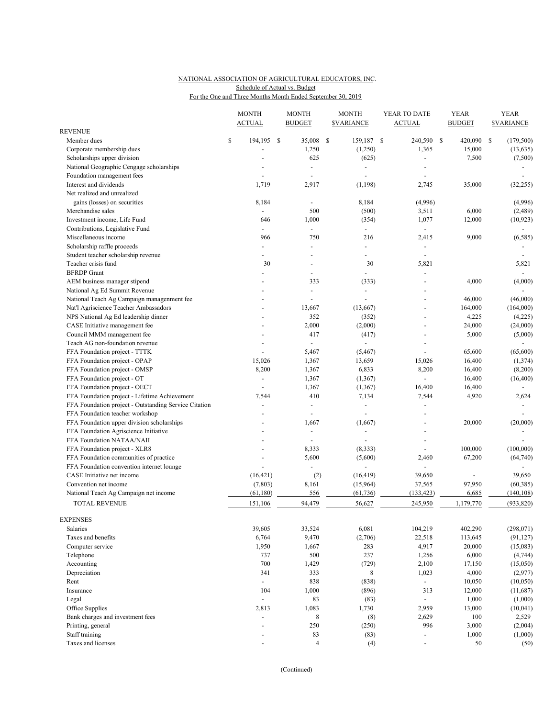## NATIONAL ASSOCIATION OF AGRICULTURAL EDUCATORS, INC. For the One and Three Months Month Ended September 30, 2019 Schedule of Actual vs. Budget

|                                                       | <b>MONTH</b><br><b>ACTUAL</b> |      | <b>MONTH</b><br><b>BUDGET</b> |     | <b>MONTH</b><br><b><i>SVARIANCE</i></b> | YEAR TO DATE<br><b>ACTUAL</b> | YEAR<br><b>BUDGET</b> | <b>YEAR</b><br><b>SVARIANCE</b> |
|-------------------------------------------------------|-------------------------------|------|-------------------------------|-----|-----------------------------------------|-------------------------------|-----------------------|---------------------------------|
| <b>REVENUE</b>                                        |                               |      |                               |     |                                         |                               |                       |                                 |
| Member dues                                           | \$<br>194,195                 | - \$ | 35,008                        | -\$ | 159,187 \$                              | 240,590                       | \$<br>420,090         | \$<br>(179, 500)                |
| Corporate membership dues                             |                               |      | 1,250                         |     | (1,250)                                 | 1,365                         | 15,000                | (13, 635)                       |
| Scholarships upper division                           |                               |      | 625                           |     | (625)                                   | $\overline{a}$                | 7,500                 | (7,500)                         |
| National Geographic Cengage scholarships              |                               |      | $\blacksquare$                |     | $\overline{a}$                          |                               |                       |                                 |
| Foundation management fees                            |                               |      | $\blacksquare$                |     | $\overline{\phantom{a}}$                | ÷,                            |                       |                                 |
| Interest and dividends                                | 1,719                         |      | 2,917                         |     | (1, 198)                                | 2,745                         | 35,000                | (32, 255)                       |
| Net realized and unrealized                           |                               |      |                               |     |                                         |                               |                       |                                 |
| gains (losses) on securities                          | 8,184                         |      |                               |     | 8,184                                   | (4,996)                       |                       | (4,996)                         |
| Merchandise sales                                     | $\overline{a}$                |      | 500                           |     | (500)                                   | 3,511                         | 6,000                 | (2,489)                         |
| Investment income, Life Fund                          | 646                           |      | 1,000                         |     | (354)                                   | 1,077                         | 12,000                | (10, 923)                       |
| Contributions, Legislative Fund                       | $\blacksquare$                |      | $\blacksquare$                |     | $\overline{\phantom{a}}$                | $\blacksquare$                |                       | $\blacksquare$                  |
| Miscellaneous income                                  | 966                           |      | 750                           |     | 216                                     | 2,415                         | 9,000                 | (6, 585)                        |
| Scholarship raffle proceeds                           | $\overline{a}$                |      |                               |     | $\overline{a}$                          | $\overline{\phantom{a}}$      |                       |                                 |
| Student teacher scholarship revenue                   |                               |      |                               |     |                                         |                               |                       |                                 |
| Teacher crisis fund                                   | 30                            |      |                               |     | 30                                      | 5,821                         |                       | 5,821                           |
| <b>BFRDP</b> Grant                                    |                               |      |                               |     |                                         | $\overline{\phantom{a}}$      |                       | $\overline{\phantom{a}}$        |
| AEM business manager stipend                          |                               |      | 333                           |     | (333)                                   | ä,                            | 4,000                 | (4,000)                         |
| National Ag Ed Summit Revenue                         |                               |      | $\blacksquare$                |     | $\overline{\phantom{a}}$                | $\overline{\phantom{a}}$      |                       |                                 |
| National Teach Ag Campaign managenment fee            |                               |      |                               |     |                                         |                               | 46,000                | (46,000)                        |
| Nat'l Agriscience Teacher Ambassadors                 |                               |      | 13,667                        |     | (13,667)                                |                               | 164,000               | (164,000)                       |
| NPS National Ag Ed leadership dinner                  |                               |      | 352                           |     | (352)                                   | ÷,                            | 4,225                 | (4,225)                         |
| CASE Initiative management fee                        |                               |      | 2,000                         |     | (2,000)                                 | $\overline{a}$                | 24,000                | (24,000)                        |
| Council MMM management fee                            |                               |      | 417                           |     | (417)                                   |                               | 5,000                 | (5,000)                         |
| Teach AG non-foundation revenue                       |                               |      | $\blacksquare$                |     | $\overline{a}$                          |                               |                       |                                 |
| FFA Foundation project - TTTK                         |                               |      | 5,467                         |     | (5, 467)                                |                               | 65,600                | (65,600)                        |
| FFA Foundation project - OPAP                         | 15,026                        |      | 1,367                         |     | 13,659                                  | 15,026                        | 16,400                | (1, 374)                        |
| FFA Foundation project - OMSP                         | 8,200                         |      | 1,367                         |     | 6,833                                   | 8,200                         | 16,400                | (8,200)                         |
| FFA Foundation project - OT                           | $\sim$                        |      | 1,367                         |     | (1, 367)                                |                               | 16,400                | (16, 400)                       |
| FFA Foundation project - OECT                         |                               |      | 1,367                         |     | (1, 367)                                | 16,400                        | 16,400                |                                 |
| FFA Foundation project - Lifetime Achievement         | 7,544                         |      | 410                           |     | 7,134                                   | 7,544                         | 4,920                 | 2,624                           |
| FFA Foundation project - Outstanding Service Citation | ÷,                            |      | $\blacksquare$                |     | ÷,                                      | $\overline{a}$                |                       |                                 |
| FFA Foundation teacher workshop                       |                               |      |                               |     |                                         | $\overline{a}$                |                       |                                 |
| FFA Foundation upper division scholarships            |                               |      | 1,667                         |     | (1,667)                                 |                               | 20,000                | (20,000)                        |
| FFA Foundation Agriscience Initiative                 |                               |      | $\blacksquare$                |     | $\overline{a}$                          | $\overline{\phantom{a}}$      |                       |                                 |
| FFA Foundation NATAA/NAII                             |                               |      |                               |     |                                         |                               |                       |                                 |
| FFA Foundation project - XLR8                         |                               |      | 8,333                         |     | (8,333)                                 | ÷.                            | 100,000               | (100,000)                       |
| FFA Foundation communities of practice                |                               |      | 5,600                         |     | (5,600)                                 | 2,460                         | 67,200                | (64, 740)                       |
| FFA Foundation convention internet lounge             |                               |      |                               |     |                                         | ÷                             |                       |                                 |
| CASE Initiative net income                            | (16, 421)                     |      | (2)                           |     | (16, 419)                               | 39,650                        |                       | 39,650                          |
| Convention net income                                 | (7,803)                       |      | 8,161                         |     | (15,964)                                | 37,565                        | 97,950                | (60, 385)                       |
| National Teach Ag Campaign net income                 | (61, 180)                     |      | 556                           |     | (61, 736)                               | (133, 423)                    | 6,685                 | (140, 108)                      |
| <b>TOTAL REVENUE</b>                                  | 151,106                       |      | 94,479                        |     | 56,627                                  | 245,950                       | 1,179,770             | (933, 820)                      |
| <b>EXPENSES</b>                                       |                               |      |                               |     |                                         |                               |                       |                                 |
| Salaries                                              | 39,605                        |      | 33,524                        |     | 6,081                                   | 104,219                       | 402,290               | (298, 071)                      |
| Taxes and benefits                                    | 6,764                         |      | 9,470                         |     | (2,706)                                 | 22,518                        | 113,645               | (91, 127)                       |
| Computer service                                      | 1,950                         |      | 1,667                         |     | 283                                     | 4,917                         | 20,000                | (15,083)                        |
| Telephone                                             | 737                           |      | 500                           |     | 237                                     | 1,256                         | 6,000                 | (4,744)                         |
| Accounting                                            | 700                           |      | 1,429                         |     | (729)                                   | 2,100                         | 17,150                | (15,050)                        |
| Depreciation                                          | 341                           |      | 333                           |     | 8                                       | 1,023                         | 4,000                 | (2,977)                         |
| Rent                                                  | $\sim$                        |      | 838                           |     | (838)                                   | $\sim$                        | 10,050                | (10,050)                        |
| Insurance                                             | 104                           |      | 1,000                         |     | (896)                                   | 313                           | 12,000                | (11,687)                        |
| Legal                                                 | $\blacksquare$                |      | 83                            |     | (83)                                    |                               | 1,000                 | (1,000)                         |
| Office Supplies                                       | 2,813                         |      | 1,083                         |     | 1,730                                   | 2,959                         | 13,000                | (10, 041)                       |
| Bank charges and investment fees                      | $\overline{\phantom{a}}$      |      | $\,8\,$                       |     | (8)                                     | 2,629                         | 100                   | 2,529                           |
| Printing, general                                     | $\sim$                        |      | 250                           |     | (250)                                   | 996                           | 3,000                 | (2,004)                         |
| Staff training                                        |                               |      | 83                            |     | (83)                                    | $\overline{\phantom{a}}$      | 1,000                 | (1,000)                         |
| Taxes and licenses                                    | $\blacksquare$                |      | $\overline{4}$                |     | (4)                                     | $\overline{\phantom{a}}$      | 50                    | (50)                            |

(Continued)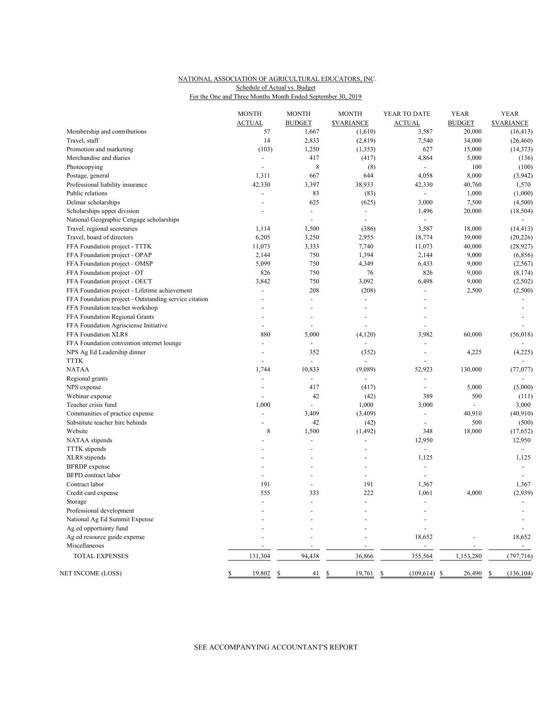## NATIONAL ASSOCIATION OF AGRICULTURAL EDUCATORS, INC. For the One and Three Months Month Ended September 30, 2019 Schedule of Actual vs. Budget

|                                                       | <b>MONTH</b>             | <b>MONTH</b>             | <b>MONTH</b>                | YEAR TO DATE                     | <b>YEAR</b>             | <b>YEAR</b>                          |
|-------------------------------------------------------|--------------------------|--------------------------|-----------------------------|----------------------------------|-------------------------|--------------------------------------|
| Membership and contributions                          | <b>ACTUAL</b><br>57      | <b>BUDGET</b><br>1,667   | <b>SVARIANCE</b><br>(1,610) | <b>ACTUAL</b><br>3,587           | <b>BUDGET</b><br>20,000 | <b><i>SVARIANCE</i></b><br>(16, 413) |
| Travel, staff                                         | 14                       | 2,833                    |                             | 7,540                            | 34,000                  | (26, 460)                            |
|                                                       | (103)                    | 1,250                    | (2, 819)                    | 627                              | 15,000                  | (14, 373)                            |
| Promotion and marketing                               |                          |                          | (1, 353)                    |                                  |                         |                                      |
| Merchandise and diaries                               | $\overline{a}$           | 417                      | (417)                       | 4,864                            | 5,000                   | (136)                                |
| Photocopying                                          | $\overline{a}$           | 8                        | (8)                         |                                  | 100                     | (100)                                |
| Postage, general                                      | 1,311                    | 667                      | 644                         | 4,058                            | 8,000                   | (3,942)                              |
| Professional liability insurance                      | 42,330                   | 3,397                    | 38,933                      | 42,330                           | 40,760                  | 1,570                                |
| Public relations                                      | $\overline{a}$           | 83                       | (83)                        | $\sim$                           | 1,000                   | (1,000)                              |
| Delmar scholarships                                   | ÷,                       | 625                      | (625)                       | 3,000                            | 7,500                   | (4,500)                              |
| Scholarships upper division                           | L,                       | $\overline{\phantom{a}}$ | $\overline{\phantom{a}}$    | 1,496                            | 20,000                  | (18, 504)                            |
| National Geographic Cengage scholarships              |                          | $\overline{a}$           | $\overline{a}$              |                                  |                         |                                      |
| Travel, regional secretaries                          | 1,114                    | 1,500                    | (386)                       | 3,587                            | 18,000                  | (14, 413)                            |
| Travel, board of directors                            | 6,205                    | 3,250                    | 2,955                       | 18,774                           | 39,000                  | (20, 226)                            |
| FFA Foundation project - TTTK                         | 11,073                   | 3,333                    | 7,740                       | 11,073                           | 40,000                  | (28, 927)                            |
| FFA Foundation project - OPAP                         | 2,144                    | 750                      | 1,394                       | 2,144                            | 9,000                   | (6, 856)                             |
| FFA Foundation project - OMSP                         | 5,099                    | 750                      | 4,349                       | 6,433                            | 9,000                   | (2, 567)                             |
| FFA Foundation project - OT                           | 826                      | 750                      | 76                          | 826                              | 9,000                   | (8, 174)                             |
| FFA Foundation project - OECT                         | 3,842                    | 750                      | 3,092                       | 6,498                            | 9,000                   | (2,502)                              |
| FFA Foundation project - Lifetime achievement         | $\overline{a}$           | 208                      | (208)                       |                                  | 2,500                   | (2,500)                              |
| FFA Foundation project - Outstanding service citation | $\overline{a}$           | $\overline{a}$           | $\overline{\phantom{a}}$    |                                  |                         |                                      |
| FFA Foundation teacher workshop                       | $\overline{a}$           | $\overline{a}$           | $\overline{a}$              |                                  |                         |                                      |
| FFA Foundation Regional Grants                        | ä,                       |                          |                             |                                  |                         |                                      |
| FFA Foundation Agrisciense Initiative                 | $\overline{a}$           |                          |                             |                                  |                         |                                      |
| FFA Foundation XLR8                                   | 880                      | 5,000                    | (4, 120)                    | 3,982                            | 60,000                  | (56, 018)                            |
| FFA Foundation convention internet lounge             | $\overline{a}$           | ÷.                       |                             |                                  |                         |                                      |
| NPS Ag Ed Leadership dinner                           | $\overline{a}$           | 352                      | (352)                       | $\overline{a}$                   | 4,225                   | (4,225)                              |
| <b>TTTK</b>                                           |                          | $\overline{a}$           | $\overline{a}$              |                                  |                         |                                      |
| <b>NATAA</b>                                          | 1,744                    | 10,833                   | (9,089)                     | 52,923                           | 130,000                 | (77,077)                             |
| Regional grants                                       | ÷,                       | $\overline{a}$           |                             | $\overline{a}$                   |                         |                                      |
| NPS expense                                           | $\overline{\phantom{a}}$ | 417                      | (417)                       | $\overline{\phantom{a}}$         | 5,000                   | (5,000)                              |
| Webinar expense                                       |                          | 42                       | (42)                        | 389                              | 500                     | (111)                                |
| Teacher crisis fund                                   | 1,000                    |                          | 1,000                       | 3,000                            |                         | 3,000                                |
| Communities of practice expense                       | $\overline{a}$           | 3,409                    | (3,409)                     | $\overline{\phantom{a}}$         | 40,910                  | (40, 910)                            |
| Substitute teacher hire behinds                       | $\overline{a}$           | 42                       | (42)                        | $\overline{a}$                   | 500                     | (500)                                |
| Website                                               | 8                        | 1,500                    | (1, 492)                    | 348                              | 18,000                  | (17, 652)                            |
| NATAA stipends                                        |                          |                          |                             | 12,950                           |                         | 12,950                               |
| <b>TTTK</b> stipends                                  |                          |                          |                             | $\overline{a}$                   |                         | $\blacksquare$                       |
| XLR8 stipends                                         |                          |                          |                             | 1,125                            |                         | 1,125                                |
| <b>BFRDP</b> expense                                  | $\overline{a}$           | ÷                        |                             | $\overline{a}$                   |                         | $\sim$                               |
| <b>BFPD</b> contract labor                            | $\overline{a}$           | ÷,                       | ÷,                          | $\sim$                           |                         | $\sim$                               |
| Contract labor                                        | 191                      |                          | 191                         | 1,367                            |                         | 1,367                                |
|                                                       |                          |                          |                             |                                  |                         |                                      |
| Credit card expense                                   | 555                      | 333                      | 222                         | 1,061                            | 4,000                   | (2,939)                              |
| Storage                                               | ÷.                       | $\overline{a}$           |                             |                                  |                         |                                      |
| Professional development                              |                          |                          |                             |                                  |                         | $\overline{a}$                       |
| National Ag Ed Summit Expense                         |                          |                          |                             |                                  |                         | $\overline{\phantom{a}}$             |
| Ag ed opportuinty fund                                |                          |                          |                             |                                  |                         |                                      |
| Ag ed resource guide expense                          |                          |                          |                             | 18,652                           |                         | 18,652                               |
| Miscellaneous                                         |                          | L,                       | $\overline{a}$              | $\overline{a}$                   | $\overline{a}$          | $\mathcal{L}_{\mathcal{A}}$          |
| TOTAL EXPENSES                                        | 131,304                  | 94,438                   | 36,866                      | 355,564                          | 1,153,280               | (797, 716)                           |
| NET INCOME (LOSS)                                     | \$<br>19,802             | \$<br>41                 | \$<br>19,761                | <sup>\$</sup><br>$(109, 614)$ \$ | 26,490                  | $\mathbb{S}$<br>(136, 104)           |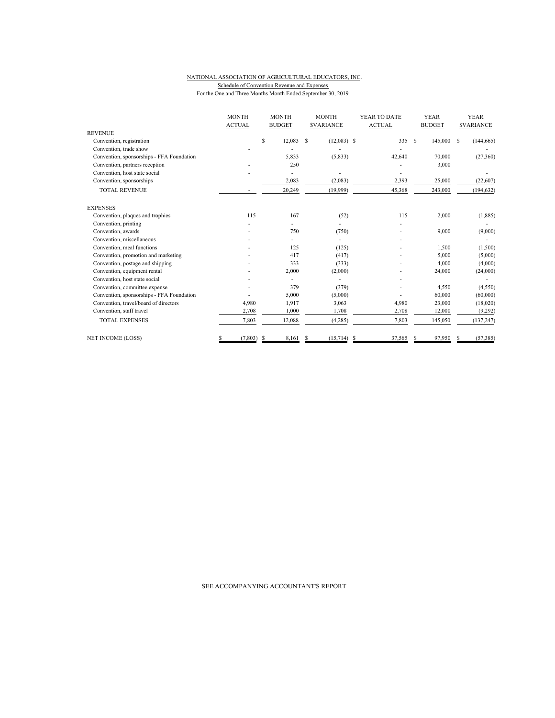#### NATIONAL ASSOCIATION OF AGRICULTURAL EDUCATORS, INC. Schedule of Convention Revenue and Expenses For the One and Three Months Month Ended September 30, 2019

|                                           | <b>MONTH</b>  | <b>MONTH</b>          | <b>MONTH</b>                   | YEAR TO DATE  | <b>YEAR</b>              | <b>YEAR</b>      |
|-------------------------------------------|---------------|-----------------------|--------------------------------|---------------|--------------------------|------------------|
| <b>REVENUE</b>                            | <b>ACTUAL</b> | <b>BUDGET</b>         | <b>SVARIANCE</b>               | <b>ACTUAL</b> | <b>BUDGET</b>            | <b>SVARIANCE</b> |
| Convention, registration                  |               | $\mathbb S$<br>12,083 | <sup>\$</sup><br>$(12,083)$ \$ | 335           | <sup>\$</sup><br>145,000 | (144, 665)<br>-S |
| Convention, trade show                    |               |                       |                                |               |                          |                  |
| Convention, sponsorships - FFA Foundation |               | 5,833                 | (5, 833)                       | 42,640        | 70,000                   | (27,360)         |
| Convention, partners reception            |               | 250                   |                                |               | 3,000                    |                  |
| Convention, host state social             |               |                       |                                |               |                          |                  |
| Convention, sponsorships                  |               | 2,083                 | (2,083)                        | 2,393         | 25,000                   | (22,607)         |
| <b>TOTAL REVENUE</b>                      |               | 20,249                | (19,999)                       | 45,368        | 243,000                  | (194, 632)       |
| <b>EXPENSES</b>                           |               |                       |                                |               |                          |                  |
| Convention, plaques and trophies          | 115           | 167                   | (52)                           | 115           | 2,000                    | (1, 885)         |
| Convention, printing                      |               |                       |                                |               |                          |                  |
| Convention, awards                        |               | 750                   | (750)                          |               | 9,000                    | (9,000)          |
| Convention, miscellaneous                 |               |                       |                                |               |                          |                  |
| Convention, meal functions                |               | 125                   | (125)                          |               | 1,500                    | (1,500)          |
| Convention, promotion and marketing       |               | 417                   | (417)                          |               | 5,000                    | (5,000)          |
| Convention, postage and shipping          |               | 333                   | (333)                          |               | 4,000                    | (4,000)          |
| Convention, equipment rental              |               | 2,000                 | (2,000)                        |               | 24,000                   | (24,000)         |
| Convention, host state social             |               |                       |                                |               |                          |                  |
| Convention, committee expense             |               | 379                   | (379)                          |               | 4,550                    | (4,550)          |
| Convention, sponsorships - FFA Foundation |               | 5,000                 | (5,000)                        |               | 60,000                   | (60,000)         |
| Convention, travel/board of directors     | 4,980         | 1,917                 | 3,063                          | 4,980         | 23,000                   | (18,020)         |
| Convention, staff travel                  | 2,708         | 1,000                 | 1,708                          | 2,708         | 12,000                   | (9, 292)         |
| <b>TOTAL EXPENSES</b>                     | 7,803         | 12,088                | (4, 285)                       | 7,803         | 145,050                  | (137, 247)       |
| <b>NET INCOME (LOSS)</b>                  | (7, 803)      | 8.161<br>-S           | (15,714)<br>\$.                | 37,565<br>S   | 97,950<br>S              | (57, 385)        |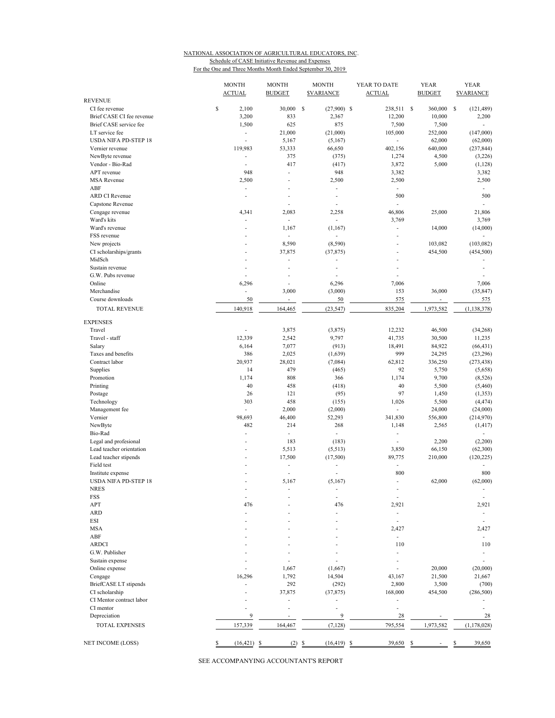## NATIONAL ASSOCIATION OF AGRICULTURAL EDUCATORS, INC. Schedule of CASE Initiative Revenue and Expenses

For the One and Three Months Month Ended September 30, 2019

|                                                  | <b>MONTH</b><br><b>ACTUAL</b> | <b>MONTH</b><br><b>BUDGET</b> | <b>MONTH</b><br><b><i>SVARIANCE</i></b> | YEAR TO DATE<br><b>ACTUAL</b> | <b>YEAR</b><br><b>BUDGET</b> | <b>YEAR</b><br><b><i>SVARIANCE</i></b> |
|--------------------------------------------------|-------------------------------|-------------------------------|-----------------------------------------|-------------------------------|------------------------------|----------------------------------------|
| <b>REVENUE</b><br>CI fee revenue                 | \$<br>2,100                   | 30,000                        | S<br>$(27,900)$ \$                      | 238,511 \$                    | 360,000                      | \$<br>(121, 489)                       |
| Brief CASE CI fee revenue                        | 3,200                         | 833                           | 2,367                                   | 12,200                        | 10,000                       | 2,200                                  |
| Brief CASE service fee                           | 1,500                         | 625                           | 875                                     | 7,500                         | 7,500                        | $\mathcal{L}_{\mathcal{A}}$            |
| LT service fee                                   | ÷                             | 21,000                        | (21,000)                                | 105,000                       | 252,000                      | (147,000)                              |
| <b>USDA NIFA PD-STEP 18</b>                      |                               | 5,167                         | (5,167)                                 | $\overline{\phantom{a}}$      | 62,000                       | (62,000)                               |
| Vernier revenue                                  | 119,983                       | 53,333                        | 66,650                                  | 402,156                       | 640,000                      | (237, 844)                             |
| NewByte revenue                                  | ٠                             | 375                           | (375)                                   | 1,274                         | 4,500                        | (3,226)                                |
| Vendor - Bio-Rad                                 | ٠                             | 417                           | (417)                                   | 3,872                         | 5,000                        | (1, 128)                               |
| APT revenue<br><b>MSA Revenue</b>                | 948                           | ÷,<br>L,                      | 948                                     | 3,382                         |                              | 3,382                                  |
| ABF                                              | 2,500<br>٠                    | L,                            | 2,500<br>L,                             | 2,500<br>L.                   |                              | 2,500<br>÷                             |
| <b>ARD CI Revenue</b>                            | ÷,                            | L,                            | L,                                      | 500                           |                              | 500                                    |
| Capstone Revenue                                 |                               |                               |                                         | L,                            |                              |                                        |
| Cengage revenue                                  | 4,341                         | 2,083                         | 2,258                                   | 46,806                        | 25,000                       | 21,806                                 |
| Ward's kits                                      |                               | ÷                             | L.                                      | 3,769                         |                              | 3,769                                  |
| Ward's revenue                                   | ٠                             | 1,167                         | (1, 167)                                | $\frac{1}{2}$                 | 14,000                       | (14,000)                               |
| FSS revenue                                      |                               | ÷.                            |                                         | ä,                            |                              |                                        |
| New projects                                     |                               | 8,590                         | (8,590)                                 | Ĭ.                            | 103,082                      | (103, 082)                             |
| CI scholarships/grants                           |                               | 37,875                        | (37, 875)                               | ÷,                            | 454,500                      | (454, 500)                             |
| MidSch                                           |                               |                               |                                         | $\overline{a}$                |                              |                                        |
| Sustain revenue                                  | ٠                             | Ĭ.                            | ÷.                                      | ä,                            |                              | ٠                                      |
| G.W. Pubs revenue                                |                               | ٠                             |                                         |                               |                              |                                        |
| Online<br>Merchandise                            | 6,296<br>٠                    | ÷,<br>3,000                   | 6,296<br>(3,000)                        | 7,006<br>153                  | 36,000                       | 7,006<br>(35, 847)                     |
| Course downloads                                 | 50                            | $\overline{\phantom{a}}$      | 50                                      | 575                           | $\overline{\phantom{a}}$     | 575                                    |
| <b>TOTAL REVENUE</b>                             | 140,918                       | 164,465                       | (23, 547)                               | 835,204                       | 1,973,582                    | (1, 138, 378)                          |
|                                                  |                               |                               |                                         |                               |                              |                                        |
| <b>EXPENSES</b>                                  |                               |                               |                                         |                               |                              |                                        |
| Travel                                           |                               | 3,875                         | (3,875)                                 | 12,232                        | 46,500                       | (34, 268)                              |
| Travel - staff                                   | 12,339                        | 2,542                         | 9,797                                   | 41,735                        | 30,500                       | 11,235                                 |
| Salary                                           | 6,164                         | 7,077                         | (913)                                   | 18,491                        | 84,922                       | (66, 431)                              |
| Taxes and benefits                               | 386                           | 2,025                         | (1,639)                                 | 999                           | 24,295                       | (23, 296)                              |
| Contract labor                                   | 20,937                        | 28,021                        | (7,084)                                 | 62,812                        | 336,250                      | (273, 438)                             |
| Supplies                                         | 14                            | 479                           | (465)                                   | 92                            | 5,750                        | (5,658)                                |
| Promotion<br>Printing                            | 1,174<br>40                   | 808<br>458                    | 366<br>(418)                            | 1,174<br>40                   | 9,700<br>5,500               | (8, 526)<br>(5,460)                    |
| Postage                                          | 26                            | 121                           | (95)                                    | 97                            | 1,450                        | (1, 353)                               |
| Technology                                       | 303                           | 458                           | (155)                                   | 1,026                         | 5,500                        | (4, 474)                               |
| Management fee                                   | ÷                             | 2,000                         | (2,000)                                 | L.                            | 24,000                       | (24,000)                               |
| Vernier                                          | 98,693                        | 46,400                        | 52,293                                  | 341,830                       | 556,800                      | (214,970)                              |
| NewByte                                          | 482                           | 214                           | 268                                     | 1,148                         | 2,565                        | (1, 417)                               |
| Bio-Rad                                          | ÷.                            | $\sim$                        | $\overline{\phantom{a}}$                | ٠                             |                              | $\overline{\phantom{a}}$               |
| Legal and profesional                            | ٠                             | 183                           | (183)                                   | L,                            | 2,200                        | (2,200)                                |
| Lead teacher orientation                         |                               | 5,513                         | (5, 513)                                | 3,850                         | 66,150                       | (62, 300)                              |
| Lead teacher stipends                            |                               | 17,500                        | (17,500)                                | 89,775                        | 210,000                      | (120, 225)                             |
| Field test                                       |                               | $\overline{a}$<br>÷,          | ä,                                      | ÷,<br>800                     |                              | 800                                    |
| Institute expense<br><b>USDA NIFA PD-STEP 18</b> | ÷                             | 5,167                         | (5,167)                                 | ä,                            | 62,000                       | (62,000)                               |
| <b>NRES</b>                                      |                               |                               |                                         | $\overline{a}$                |                              | $\overline{\phantom{a}}$               |
| FSS                                              | ٠                             |                               | ä,                                      | ä,                            |                              | $\overline{\phantom{a}}$               |
| APT                                              | 476                           |                               | 476                                     | 2,921                         |                              | 2,921                                  |
| <b>ARD</b>                                       |                               |                               |                                         | ÷,                            |                              |                                        |
| ESI                                              |                               |                               |                                         | ä,                            |                              |                                        |
| <b>MSA</b>                                       |                               |                               |                                         | 2,427                         |                              | 2,427                                  |
| ABF                                              |                               |                               |                                         | ä,                            |                              | ٠                                      |
| <b>ARDCI</b>                                     |                               |                               |                                         | 110                           |                              | 110                                    |
| G.W. Publisher                                   |                               |                               |                                         |                               |                              | $\overline{\phantom{a}}$               |
| Sustain expense                                  |                               |                               |                                         |                               |                              |                                        |
| Online expense                                   |                               | 1,667                         | (1,667)                                 |                               | 20,000                       | (20,000)                               |
| Cengage                                          | 16,296                        | 1,792                         | 14,504                                  | 43,167                        | 21,500                       | 21,667                                 |
| BriefCASE LT stipends                            |                               | 292                           | (292)                                   | 2,800                         | 3,500                        | (700)                                  |
| CI scholarship<br>CI Mentor contract labor       |                               | 37,875<br>L                   | (37, 875)                               | 168,000                       | 454,500                      | (286, 500)                             |
| CI mentor                                        |                               |                               |                                         |                               |                              |                                        |
| Depreciation                                     | 9                             |                               | 9                                       | 28                            |                              | 28                                     |
| TOTAL EXPENSES                                   | 157,339                       | 164,467                       | (7, 128)                                | 795,554                       | 1,973,582                    | (1, 178, 028)                          |
|                                                  |                               |                               |                                         |                               |                              |                                        |
| NET INCOME (LOSS)                                | \$<br>$(16, 421)$ \$          | (2) S                         | $(16, 419)$ \$                          | 39,650                        | \$                           | 39,650<br>\$                           |